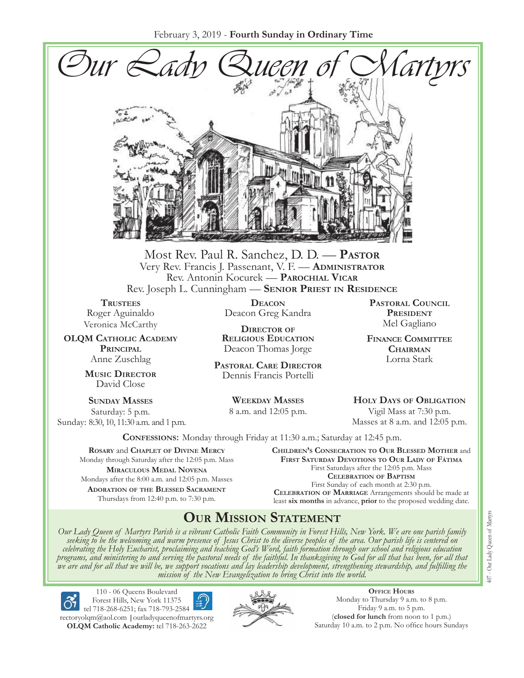February 3, 2019 - **Fourth Sunday in Ordinary Time**



Most Rev. Paul R. Sanchez, D. D. — **Pastor** Very Rev. Francis J. Passenant, V. F. — **Administrator** Rev. Antonin Kocurek — **Parochial Vicar** Rev. Joseph L. Cunningham — **Senior Priest in Residence**

**TRUSTEES** Roger Aguinaldo Veronica McCarthy

**OLQM Catholic Academy Principal** Anne Zuschlag

> **Music Director** David Close

**Sunday Masses** Saturday: 5 p.m. Sunday: 8:30, 10, 11:30 a.m. and 1 p.m.

**Deacon** Deacon Greg Kandra

**Director of Religious Education** Deacon Thomas Jorge

**Pastoral Care Director** Dennis Francis Portelli

> **Weekday Masses** 8 a.m. and 12:05 p.m.

**Pastoral Council** PRESIDENT Mel Gagliano

**Finance Committee Chairman** Lorna Stark

**Holy Days of Obligation** Vigil Mass at 7:30 p.m. Masses at 8 a.m. and 12:05 p.m.

**Confessions:** Monday through Friday at 11:30 a.m.; Saturday at 12:45 p.m.

**Rosary** and **Chaplet of Divine Mercy** Monday through Saturday after the 12:05 p.m. Mass **Miraculous Medal Novena** Mondays after the 8:00 a.m. and 12:05 p.m. Masses **Adoration of the Blessed Sacrament** Thursdays from 12:40 p.m. to 7:30 p.m.

**Children's Consecration to Our Blessed Mother** and **First Saturday Devotions to Our Lady of Fátima** First Saturdays after the 12:05 p.m. Mass **Celebration of Baptism** First Sunday of each month at 2:30 p.m. **Celebration of Marriage** Arrangements should be made at least **six months** in advance, **prior** to the proposed wedding date.

# **Our Mission Statement**

Our Lady Queen of Martyrs Parish is a vibrant Catholic Faith Community in Forest Hills, New York. We are one parish family<br>seeking to be the welcoming and warm presence of Jesus Christ to the diverse peoples of the area. O *celebrating the Holy Eucharist, proclaiming and teaching God's Word, faith formation through our school and religious education*  programs, and ministering to and serving the pastoral needs of the faithful. In thanksgiving to God for all that has been, for all that<br>we are and for all that we will be, we support vocations and lay leadership developmen



110 - 06 Queens Boulevard Forest Hills, New York 11375 tel 718-268-6251; fax 718-793-2584

[rectoryolqm@aol.com](mailto:rectoryolqm@aol.com) **|**[ourladyqueenofmartyrs.org](www.ourladyqueenofmartyrs.org) **OLQM Catholic Academy:** tel 718-263-2622



**Office Hours** Monday to Thursday 9 a.m. to 8 p.m. Friday 9 a.m. to 5 p.m. (**closed for lunch** from noon to 1 p.m.) Saturday 10 a.m. to 2 p.m. No office hours Sundays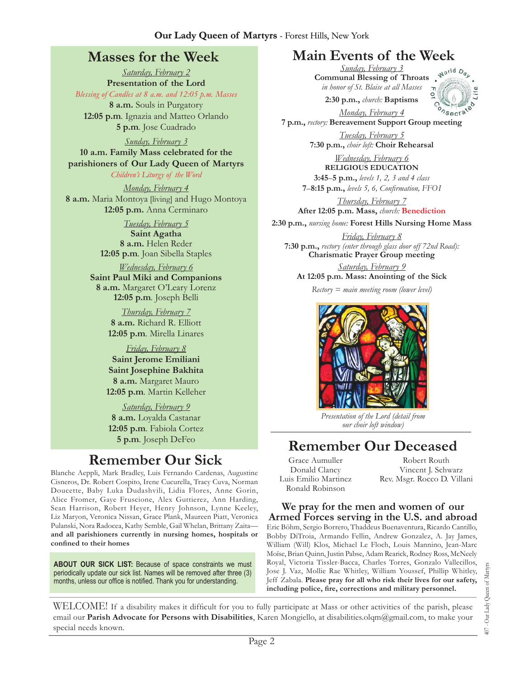# **Masses for the Week**

*Saturday, February 2* **Presentation of the Lord** *Blessing of Candles at 8 a.m. and 12:05 p.m. Masses* **8 a.m.** Souls in Purgatory **12:05 p.m***.* Ignazia and Matteo Orlando **5 p.m***.* Jose Cuadrado

*Sunday, February 3*

**10 a.m. Family Mass celebrated for the parishioners of Our Lady Queen of Martyrs** *Children's Liturgy of the Word* 

*Monday, February 4* **8 a.m.** Maria Montoya [living] and Hugo Montoya **12:05 p.m.** Anna Cerminaro

> *Tuesday, February 5* **Saint Agatha 8 a.m.** Helen Reder **12:05 p.m***.* Joan Sibella Staples

*Wednesday, February 6* **Saint Paul Miki and Companions 8 a.m.** Margaret O'Leary Lorenz **12:05 p.m***.* Joseph Belli

> *Thursday, February 7* **8 a.m.** Richard R. Elliott **12:05 p.m***.* Mirella Linares

*Friday, February 8* **Saint Jerome Emiliani Saint Josephine Bakhita 8 a.m.** Margaret Mauro **12:05 p.m***.* Martin Kelleher

*Saturday, February 9* **8 a.m.** Loyalda Castanar **12:05 p.m***.* Fabiola Cortez **5 p.m***.* Joseph DeFeo

# **Remember Our Sick**

Blanche Aeppli, Mark Bradley, Luis Fernando Cardenas, Augustine Cisneros, Dr. Robert Cospito, Irene Cucurella, Tracy Cuva, Norman Doucette, Baby Luka Dudashvili, Lidia Flores, Anne Gorin, Alice Fromer, Gaye Fruscione, Alex Guttierez, Ann Harding, Sean Harrison, Robert Heyer, Henry Johnson, Lynne Keeley, Liz Maryon, Veronica Nissan, Grace Plank, Maureen Piatt, Veronica Pulanski, Nora Radocea, Kathy Semble, Gail Whelan, Brittany Zaita **and all parishioners currently in nursing homes, hospitals or confined to their homes**

**About Our Sick List:** Because of space constraints we must periodically update our sick list. Names will be removed after three (3) months, unless our office is notified. Thank you for understanding.

# **Main Events of the Week**

*Sunday, February 3* **Communal Blessing of Throats**  *in honor of St. Blaise at all Masses* **2:30 p.m.,** *church:* **Baptisms**



*Monday, February 4* **7 p.m.,** *rectory:* **Bereavement Support Group meeting**

> *Tuesday, February 5* **7:30 p.m.,** *choir loft:* **Choir Rehearsal**

*Wednesday, February 6* **Religious Education 3:45**–**5 p.m.,** *levels 1, 2, 3 and 4 class* **7**–**8:15 p.m.,** *levels 5, 6, Confirmation, FFO  I*

*Thursday, February 7* **After 12:05 p.m. Mass,** *church:* **Benediction**

**2:30 p.m.,** *nursing home:* **Forest Hills Nursing Home Mass**

*Friday, February 8* **7:30 p.m.,** *rectory (enter through glass door off 72nd Road):*  **Charismatic Prayer Group meeting**

*Saturday, February 9* **At 12:05 p.m. Mass: Anointing of the Sick**

*Rectory = main meeting room (lower level)*



*Presentation of the Lord (detail from our choir loft window)*

# **Remember Our Deceased**

Grace Aumuller Donald Clancy Luis Emilio Martinez Ronald Robinson

Robert Routh Vincent J. Schwarz Rev. Msgr. Rocco D. Villani

### **We pray for the men and women of our Armed Forces serving in the U.S. and abroad**

Eric Böhm, Sergio Borrero, Thaddeus Buenaventura, Ricardo Cantillo, Bobby DiTroia, Armando Fellin, Andrew Gonzalez, A. Jay James, William (Will) Klos, Michael Le Floch, Louis Mannino, Jean-Marc Moïse, Brian Quinn, Justin Pabse, Adam Rearick, Rodney Ross, McNeely Royal, Victoria Tissler-Bacca, Charles Torres, Gonzalo Vallecillos, Jose J. Vaz, Mollie Rae Whitley, William Youssef, Phillip Whitley, Jeff Zabala. **Please pray for all who risk their lives for our safety, including police, fire, corrections and military personnel.**

Our Lady Queen of Martyrs 407 - Our Lady Queen of Martyrs 407.

WELCOME! If a disability makes it difficult for you to fully participate at Mass or other activities of the parish, please email our **Parish Advocate for Persons with Disabilities**, Karen Mongiello, at [disabilities.olqm@gmail.com,](mailto:disabilities.olqm@gmail.com) to make your special needs known.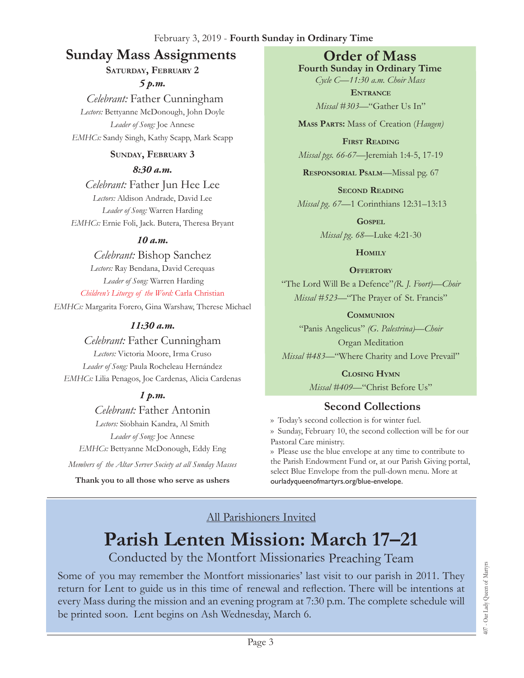### February 3, 2019 - **Fourth Sunday in Ordinary Time**

# **Sunday Mass Assignments Order of Mass**

### **Saturday, February 2**

*5 p.m.* 

 *Celebrant:* Father Cunningham *Lectors:* Bettyanne McDonough, John Doyle *Leader of Song:* Joe Annese *EMHCs:* Sandy Singh, Kathy Scapp, Mark Scapp

### **Sunday, February 3**

### *8:30 a.m.*

*Celebrant:* Father Jun Hee Lee *Lectors:* Aldison Andrade, David Lee *Leader of Song:* Warren Harding *EMHCs:* Ernie Foli, Jack. Butera, Theresa Bryant

### *10 a.m.*

*Celebrant:* Bishop Sanchez *Lectors:* Ray Bendana, David Cerequas *Leader of Song:* Warren Harding *Children's Liturgy of the Word:* Carla Christian *EMHCs:* Margarita Forero, Gina Warshaw, Therese Michael

### *11:30 a.m.*

### *Celebrant:* Father Cunningham

*Lectors:* Victoria Moore, Irma Cruso *Leader of Song:* Paula Rocheleau Hernández *EMHCs:* Lilia Penagos, Joe Cardenas, Alicia Cardenas

# *1 p.m.*

*Celebrant:* Father Antonin *Lectors:* Siobhain Kandra, Al Smith *Leader of Song:* Joe Annese *EMHCs:* Bettyanne McDonough, Eddy Eng

*Members of the Altar Server Society at all Sunday Masses*

**Thank you to all those who serve as ushers**

**Fourth Sunday in Ordinary Time** *Cycle C—11:30 a.m. Choir Mass*

> **Entrance** *Missal #303—*"Gather Us In"

**Mass Parts:** Mass of Creation (*Haugen)*

**First Reading** *Missal pgs. 66-67—*Jeremiah 1:4-5, 17-19

**Responsorial Psalm**—Missal pg. 67

**Second Reading** *Missal pg. 67—*1 Corinthians 12:31–13:13

> **Gospel** *Missal pg. 68—*Luke 4:21-30

> > **Homily**

#### **Offertory**

"The Lord Will Be a Defence"*(R. J. Foort)—Choir Missal #523—*"The Prayer of St. Francis"

#### **Communion**

"Panis Angelicus" *(G. Palestrina)—Choir* Organ Meditation

*Missal #483—*"Where Charity and Love Prevail"

**Closing Hymn** *Missal #409*—"Christ Before Us"

# **Second Collections**

›› Today's second collection is for winter fuel.

›› Sunday, February 10, the second collection will be for our Pastoral Care ministry.

›› Please use the blue envelope at any time to contribute to the Parish Endowment Fund or, at our Parish Giving portal, select Blue Envelope from the pull-down menu. More at ourladyqueenofmartyrs.org/blue-envelope.

### All Parishioners Invited

# **Parish Lenten Mission: March 17–21**

# Conducted by the Montfort Missionaries Preaching Team

Some of you may remember the Montfort missionaries' last visit to our parish in 2011. They return for Lent to guide us in this time of renewal and reflection. There will be intentions at every Mass during the mission and an evening program at 7:30 p.m. The complete schedule will be printed soon. Lent begins on Ash Wednesday, March 6.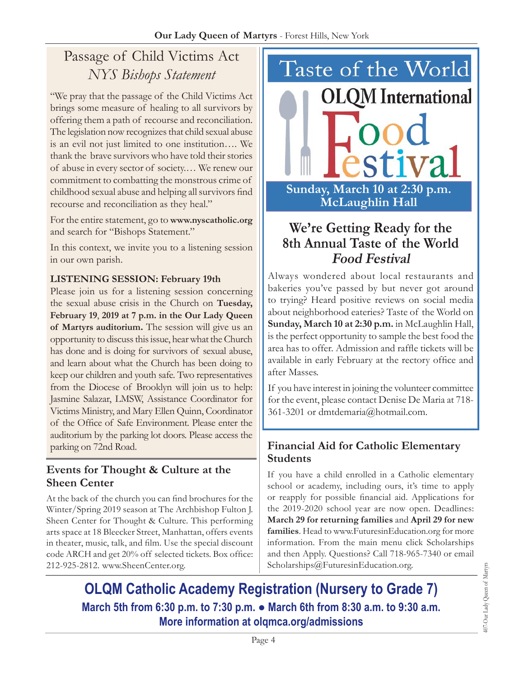# Passage of Child Victims Act *NYS Bishops Statement*

"We pray that the passage of the Child Victims Act brings some measure of healing to all survivors by offering them a path of recourse and reconciliation. The legislation now recognizes that child sexual abuse is an evil not just limited to one institution…. We thank the brave survivors who have told their stories of abuse in every sector of society.… We renew our commitment to combatting the monstrous crime of childhood sexual abuse and helping all survivors find recourse and reconciliation as they heal."

For the entire statement, go to **<www.nyscatholic.org>** and search for "Bishops Statement."

In this context, we invite you to a listening session in our own parish.

### **Listening Session: February 19th**

Please join us for a listening session concerning the sexual abuse crisis in the Church on **Tuesday, February 19**, **2019 at 7 p.m. in the Our Lady Queen of Martyrs auditorium.** The session will give us an opportunity to discuss this issue, hear what the Church has done and is doing for survivors of sexual abuse, and learn about what the Church has been doing to keep our children and youth safe. Two representatives from the Diocese of Brooklyn will join us to help: Jasmine Salazar, LMSW, Assistance Coordinator for Victims Ministry, and Mary Ellen Quinn, Coordinator of the Office of Safe Environment. Please enter the auditorium by the parking lot doors. Please access the parking on 72nd Road.

### **Events for Thought & Culture at the Sheen Center**

At the back of the church you can find brochures for the Winter/Spring 2019 season at The Archbishop Fulton J. Sheen Center for Thought & Culture. This performing arts space at 18 Bleecker Street, Manhattan, offers events in theater, music, talk, and film. Use the special discount code ARCH and get 20% off selected tickets. Box office: 212-925-2812. [www.SheenCenter.org.](www.SheenCenter.org)



# **We're Getting Ready for the 8th Annual Taste of the World Food Festival**

Always wondered about local restaurants and bakeries you've passed by but never got around to trying? Heard positive reviews on social media about neighborhood eateries? Taste of the World on **Sunday, March 10 at 2:30 p.m.** in McLaughlin Hall, is the perfect opportunity to sample the best food the area has to offer. Admission and raffle tickets will be available in early February at the rectory office and after Masses.

If you have interest in joining the volunteer committee for the event, please contact Denise De Maria at 718- 361-3201 or [dmtdemaria@hotmail.com](mailto:dmtdemaria@hotmail.com).

# **Financial Aid for Catholic Elementary Students**

If you have a child enrolled in a Catholic elementary school or academy, including ours, it's time to apply or reapply for possible financial aid. Applications for the 2019-2020 school year are now open. Deadlines: **March 29 for returning families** and **April 29 for new families**. Head to<www.FuturesinEducation.org>for more information. From the main menu click Scholarships and then Apply. Questions? Call 718-965-7340 or email [Scholarships@FuturesinEducation.org.](mailto:Scholarships@FuturesinEducation.org)

**OLQM Catholic Academy Registration (Nursery to Grade 7) March 5th from 6:30 p.m. to 7:30 p.m. ● March 6th from 8:30 a.m. to 9:30 a.m. More information at [olqmca.org/admissions](https://olqmca.org/admissions/)**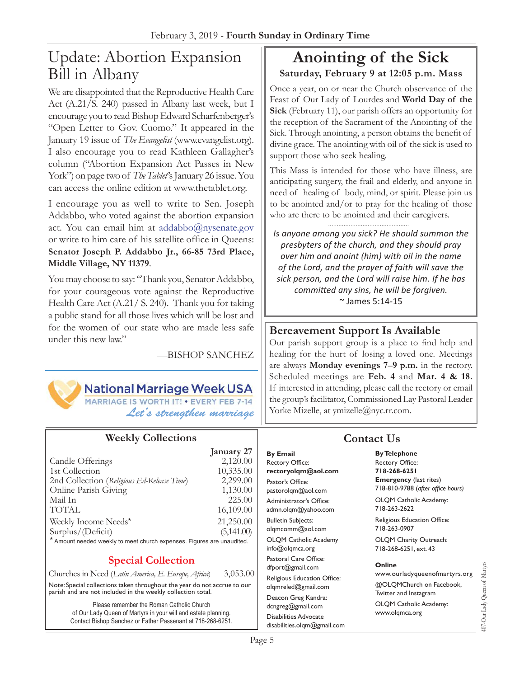# Update: Abortion Expansion Bill in Albany

We are disappointed that the Reproductive Health Care Act (A.21/S. 240) passed in Albany last week, but I encourage you to read Bishop Edward Scharfenberger's "Open Letter to Gov. Cuomo." It appeared in the January 19 issue of *The Evangelist* ([www.evangelist.org\)](www.evangelist.org). I also encourage you to read Kathleen Gallagher's column ("Abortion Expansion Act Passes in New York") on page two of *The Tablet's* January 26 issue. You can access the online edition at<www.thetablet.org>.

I encourage you as well to write to Sen. Joseph Addabbo, who voted against the abortion expansion act. You can email him at [addabbo@nysenate.gov](mailto:addabbo@nysenate.gov) or write to him care of his satellite office in Queens: **Senator Joseph P. Addabbo Jr., 66-85 73rd Place, Middle Village, NY 11379**.

You may choose to say: "Thank you, Senator Addabbo, for your courageous vote against the Reproductive Health Care Act (A.21/ S. 240). Thank you for taking a public stand for all those lives which will be lost and for the women of our state who are made less safe under this new law."

—Bishop Sanchez



**National Marriage Week USA** 

MARRIAGE IS WORTH IT! . EVERY FEB 7-14 *Let's strengthen marriage*

### **Weekly Collections**

|                                                                        | January 27 |
|------------------------------------------------------------------------|------------|
| Candle Offerings                                                       | 2,120.00   |
| 1st Collection                                                         | 10,335.00  |
| 2nd Collection (Religious Ed-Release Time)                             | 2,299.00   |
| Online Parish Giving                                                   | 1,130.00   |
| Mail In                                                                | 225.00     |
| <b>TOTAL</b>                                                           | 16,109.00  |
| Weekly Income Needs*                                                   | 21,250.00  |
| Surplus/(Deficit)                                                      | (5,141.00) |
| * Amount needed weekly to meet church expenses. Figures are unaudited. |            |

### **Special Collection**

Churches in Need (*Latin America, E. Europe, Africa*) 3,053.00

Note: Special collections taken throughout the year do not accrue to our parish and are not included in the weekly collection total.

> Please remember the Roman Catholic Church of Our Lady Queen of Martyrs in your will and estate planning. Contact Bishop Sanchez or Father Passenant at 718-268-6251.

# **Anointing of the Sick Saturday, February 9 at 12:05 p.m. Mass**

Once a year, on or near the Church observance of the Feast of Our Lady of Lourdes and **World Day of the Sick** (February 11), our parish offers an opportunity for the reception of the Sacrament of the Anointing of the Sick. Through anointing, a person obtains the benefit of divine grace. The anointing with oil of the sick is used to support those who seek healing.

This Mass is intended for those who have illness, are anticipating surgery, the frail and elderly, and anyone in need of healing of body, mind, or spirit. Please join us to be anointed and/or to pray for the healing of those who are there to be anointed and their caregivers.

*Is anyone among you sick? He should summon the presbyters of the church, and they should pray over him and anoint (him) with oil in the name of the Lord, and the prayer of faith will save the sick person, and the Lord will raise him. If he has committed any sins, he will be forgiven.*  ~ James 5:14-15

### **Bereavement Support Is Available**

Our parish support group is a place to find help and healing for the hurt of losing a loved one. Meetings are always **Monday evenings 7**–**9 p.m.** in the rectory. Scheduled meetings are **Feb. 4** and **Mar. 4 & 18.** If interested in attending, please call the rectory or email the group's facilitator, Commissioned Lay Pastoral Leader Yorke Mizelle, at [ymizelle@nyc.rr.com.](mailto:ymizelle@nyc.rr.com)

# **Contact Us**

**By Telephone** Rectory Office: **718-268-6251 Emergency** (last rites) 718-810-9788 (*after office hours)* OLQM Catholic Academy:

718-263-2622 Religious Education Office:

718-263-0907 OLQM Charity Outreach: 718-268-6251, ext. 43

#### **Online**

www.ourladyqueenofmartyrs.org @OLQMChurch on Facebook, Twitter and Instagram OLQM Catholic Academy: www.olqmca.org

407-Our Lady Queen of Martyrs

107-Our Lady Queen of Martyrs

**By Email** Rectory Office: **rectoryolqm@aol.com**

Pastor's Office: pastorolqm@aol.com Administrator's Office: admn.olqm@yahoo.com Bulletin Subjects: olqmcomm@aol.com OLQM Catholic Academy info@olqmca.org Pastoral Care Office: dfport@gmail.com Religious Education Office: olqmreled@gmail.com Deacon Greg Kandra: dcngreg@gmail.com Disabilities Advocate [disabilities.olqm@gmail.com](mailto:disabilities.olqm@gmail.com)